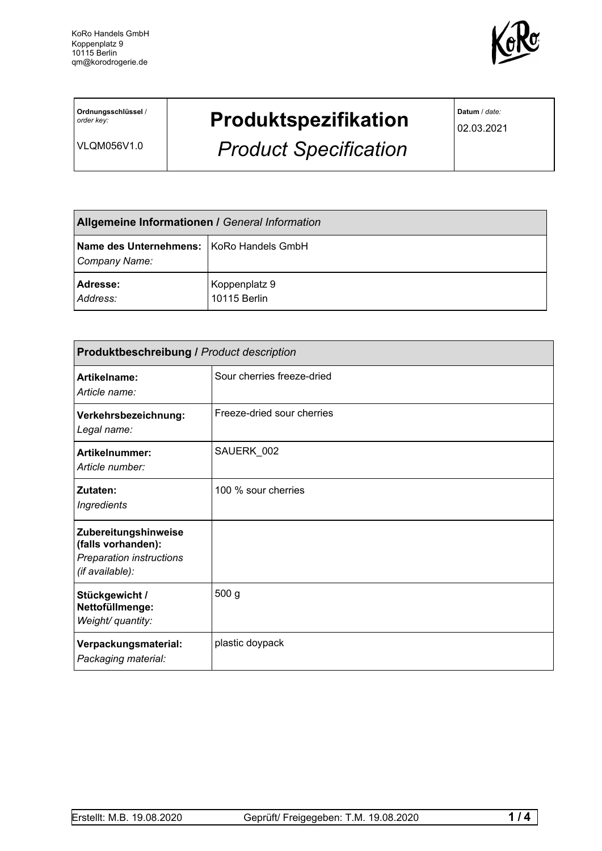

**Ordnungsschlüssel** / *order key:*

VLQM056V1.0

## **Produktspezifikation**

*Product Specification*

**Datum** / *date:*

02.03.2021

| <b>Allgemeine Informationen / General Information</b>       |                               |  |
|-------------------------------------------------------------|-------------------------------|--|
| Name des Unternehmens:   KoRo Handels GmbH<br>Company Name: |                               |  |
| Adresse:<br>Address:                                        | Koppenplatz 9<br>10115 Berlin |  |

| <b>Produktbeschreibung / Product description</b>                                                 |                            |  |
|--------------------------------------------------------------------------------------------------|----------------------------|--|
| Artikelname:<br>Article name:                                                                    | Sour cherries freeze-dried |  |
| Verkehrsbezeichnung:<br>Legal name:                                                              | Freeze-dried sour cherries |  |
| <b>Artikelnummer:</b><br>Article number:                                                         | SAUERK_002                 |  |
| Zutaten:<br><b>Ingredients</b>                                                                   | 100 % sour cherries        |  |
| Zubereitungshinweise<br>(falls vorhanden):<br><b>Preparation instructions</b><br>(if available): |                            |  |
| Stückgewicht /<br>Nettofüllmenge:<br>Weight/ quantity:                                           | 500 g                      |  |
| Verpackungsmaterial:<br>Packaging material:                                                      | plastic doypack            |  |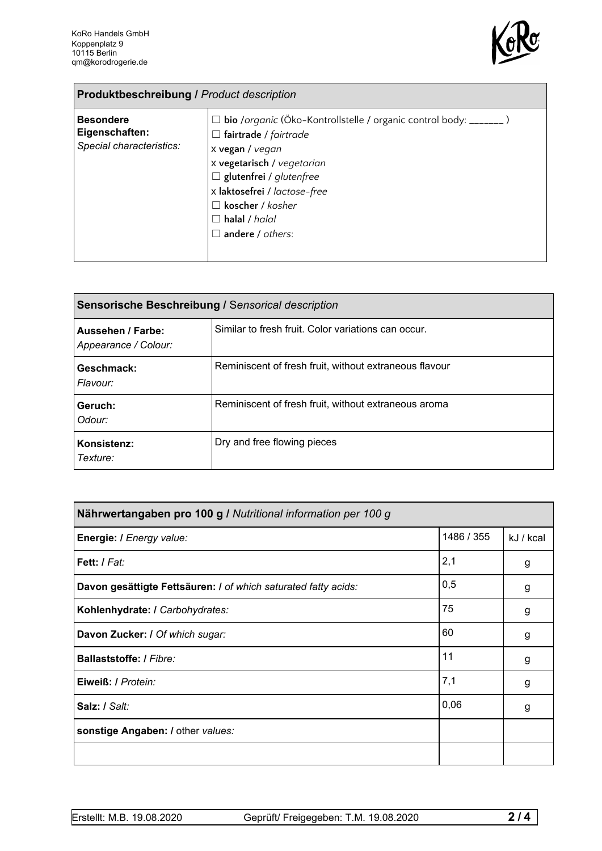

| <b>Produktbeschreibung / Product description</b>               |                                                                                                                                                                                                                                                                                                           |  |
|----------------------------------------------------------------|-----------------------------------------------------------------------------------------------------------------------------------------------------------------------------------------------------------------------------------------------------------------------------------------------------------|--|
| <b>Besondere</b><br>Eigenschaften:<br>Special characteristics: | $\Box$ bio /organic (Öko-Kontrollstelle / organic control body: _______)<br>$\Box$ fairtrade / fairtrade<br>x vegan / vegan<br>x vegetarisch / vegetarian<br>$\Box$ glutenfrei / glutenfree<br>x laktosefrei / lactose-free<br>$\Box$ koscher / kosher<br>$\Box$ halal / halal<br>$\Box$ andere / others: |  |

| Sensorische Beschreibung / Sensorical description |                                                        |  |
|---------------------------------------------------|--------------------------------------------------------|--|
| Aussehen / Farbe:<br>Appearance / Colour:         | Similar to fresh fruit. Color variations can occur.    |  |
| Geschmack:<br>Flavour:                            | Reminiscent of fresh fruit, without extraneous flavour |  |
| Geruch:<br>Odour:                                 | Reminiscent of fresh fruit, without extraneous aroma   |  |
| Konsistenz:<br>Texture:                           | Dry and free flowing pieces                            |  |

| Nährwertangaben pro 100 g / Nutritional information per 100 g  |            |           |
|----------------------------------------------------------------|------------|-----------|
| Energie: I Energy value:                                       | 1486 / 355 | kJ / kcal |
| Fett: I Fat:                                                   | 2,1        | g         |
| Davon gesättigte Fettsäuren: I of which saturated fatty acids: | 0,5        | g         |
| Kohlenhydrate: I Carbohydrates:                                | 75         | g         |
| Davon Zucker: / Of which sugar:                                | 60         | g         |
| Ballaststoffe: / Fibre:                                        | 11         | g         |
| Eiweiß: / Protein:                                             | 7,1        | g         |
| Salz: / Salt:                                                  | 0,06       | g         |
| sonstige Angaben: / other values:                              |            |           |
|                                                                |            |           |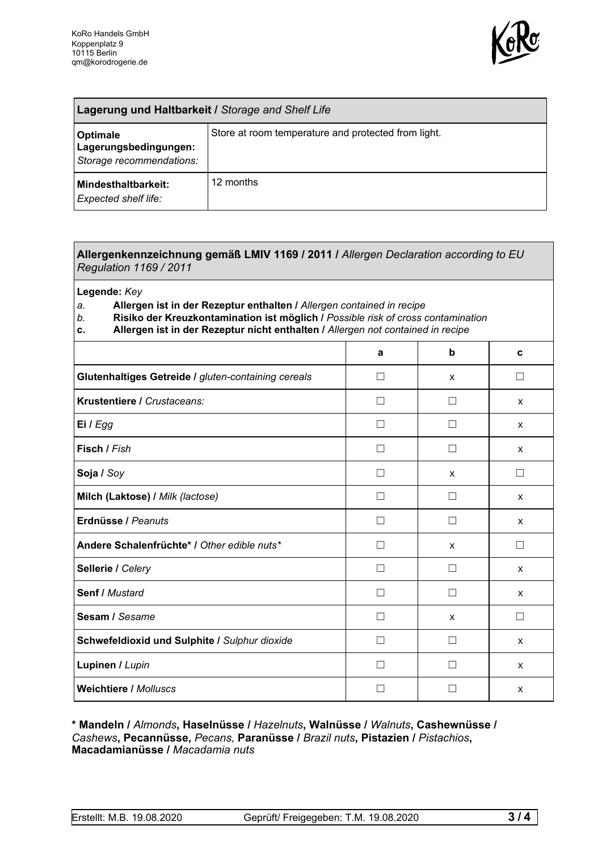

| Lagerung und Haltbarkeit / Storage and Shelf Life             |                                                     |  |
|---------------------------------------------------------------|-----------------------------------------------------|--|
| Optimale<br>Lagerungsbedingungen:<br>Storage recommendations: | Store at room temperature and protected from light. |  |
| Mindesthaltbarkeit:<br>Expected shelf life:                   | 12 months                                           |  |

## **Allergenkennzeichnung gemäß LMIV 1169 / 2011 /** *Allergen Declaration according to EU Regulation 1169 / 2011*

**Legende:** *Key*

*a.* **Allergen ist in der Rezeptur enthalten /** *Allergen contained in recipe*

- *b.* **Risiko der Kreuzkontamination ist möglich /** *Possible risk of cross contamination*
- **c. Allergen ist in der Rezeptur nicht enthalten /** *Allergen not contained in recipe*

| a            | b                 | C       |
|--------------|-------------------|---------|
| П            | X                 | П       |
| $\mathsf{L}$ |                   | X       |
|              |                   | X       |
|              |                   | X       |
|              | X                 | П       |
| П            |                   | X       |
| П            | $\Box$            | X       |
| П            | X                 | $\perp$ |
| $\mathsf{L}$ |                   | X       |
| $\mathsf{L}$ |                   | X       |
|              | X                 |         |
| П            | $\vert \ \ \vert$ | X       |
|              |                   | X       |
|              |                   | X       |
|              |                   |         |

**\* Mandeln /** *Almonds***, Haselnüsse /** *Hazelnuts***, Walnüsse /** *Walnuts***, Cashewnüsse /** *Cashews***, Pecannüsse,** *Pecans,* **Paranüsse /** *Brazil nuts***, Pistazien /** *Pistachios***, Macadamianüsse /** *Macadamia nuts*